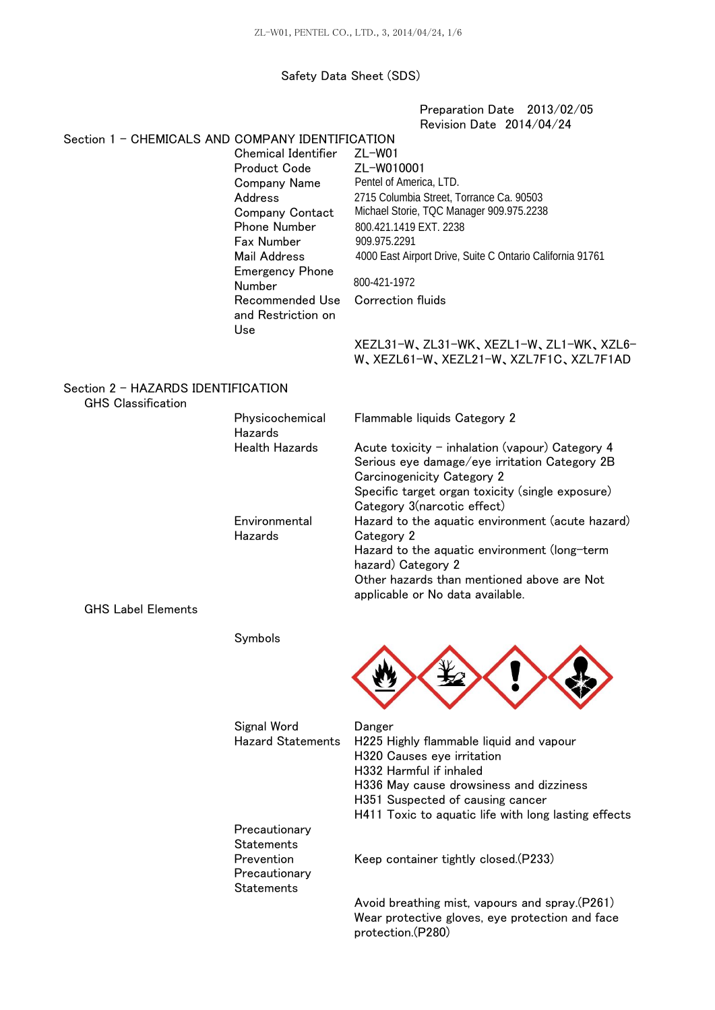### Safety Data Sheet (SDS)

Preparation Date 2013/02/05 Revision Date 2014/04/24

# Section 1 - CHEMICALS AND COMPANY IDENTIFICATION

Chemical Identifier Product Code Company Name Address Company Contact Phone Number Fax Number Mail Address Emergency Phone Number Recommended Use and Restriction on Use ZL-W01

ZL-W010001 Pentel of America, LTD. 2715 Columbia Street, Torrance Ca. 90503 Michael Storie, TQC Manager 909.975.2238 800.421.1419 EXT. 2238 909.975.2291 4000 East Airport Drive, Suite C Ontario California 91761 800-421-1972

Correction fluids

| XEZL31-W, ZL31-WK, XEZL1-W, ZL1-WK, XZL6- |  |  |
|-------------------------------------------|--|--|
| W.XEZL61-W.XEZL21-W.XZL7F1C.XZL7F1AD      |  |  |

#### Section 2 - HAZARDS IDENTIFICATION GHS Classification

| uno viassintativn         |                            |                                                                                                                                                                                                                     |
|---------------------------|----------------------------|---------------------------------------------------------------------------------------------------------------------------------------------------------------------------------------------------------------------|
|                           | Physicochemical<br>Hazards | Flammable liquids Category 2                                                                                                                                                                                        |
|                           | <b>Health Hazards</b>      | Acute toxicity $-$ inhalation (vapour) Category 4<br>Serious eye damage/eye irritation Category 2B<br>Carcinogenicity Category 2<br>Specific target organ toxicity (single exposure)<br>Category 3(narcotic effect) |
|                           | Environmental<br>Hazards   | Hazard to the aquatic environment (acute hazard)<br>Category 2                                                                                                                                                      |
|                           |                            | Hazard to the aquatic environment (long-term<br>hazard) Category 2                                                                                                                                                  |
|                           |                            | Other hazards than mentioned above are Not<br>applicable or No data available.                                                                                                                                      |
| <b>GHS Label Elements</b> |                            |                                                                                                                                                                                                                     |

Symbols



| Signal Word              | Danger                                                                                            |  |  |
|--------------------------|---------------------------------------------------------------------------------------------------|--|--|
| <b>Hazard Statements</b> | H225 Highly flammable liquid and vapour                                                           |  |  |
|                          | H320 Causes eye irritation                                                                        |  |  |
|                          | H332 Harmful if inhaled                                                                           |  |  |
|                          | H336 May cause drowsiness and dizziness                                                           |  |  |
|                          | H351 Suspected of causing cancer                                                                  |  |  |
|                          | H411 Toxic to aquatic life with long lasting effects                                              |  |  |
| Precautionary            |                                                                                                   |  |  |
| <b>Statements</b>        |                                                                                                   |  |  |
| Prevention               | Keep container tightly closed. (P233)                                                             |  |  |
| Precautionary            |                                                                                                   |  |  |
| <b>Statements</b>        |                                                                                                   |  |  |
|                          | Avoid breathing mist, vapours and spray.(P261)<br>Wear protective gloves, eye protection and face |  |  |

protection.(P280)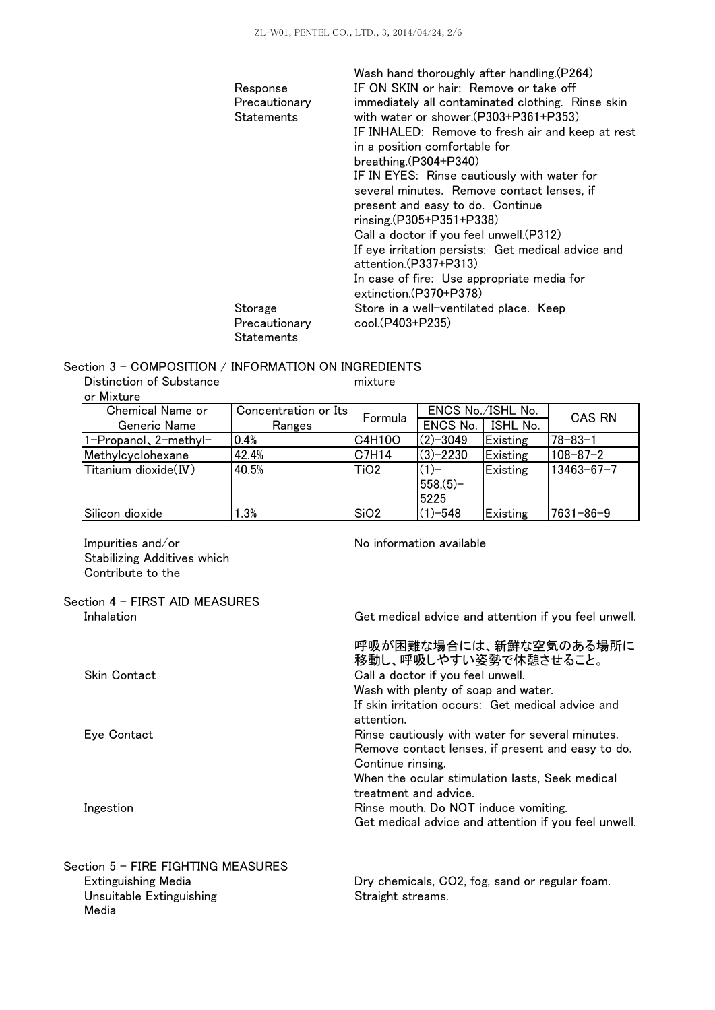|               | Wash hand thoroughly after handling. (P264)                                 |
|---------------|-----------------------------------------------------------------------------|
| Response      | IF ON SKIN or hair: Remove or take off                                      |
| Precautionary | immediately all contaminated clothing. Rinse skin                           |
| Statements    | with water or shower.(P303+P361+P353)                                       |
|               | IF INHALED: Remove to fresh air and keep at rest                            |
|               | in a position comfortable for                                               |
|               | breathing (P304+P340)                                                       |
|               | IF IN EYES: Rinse cautiously with water for                                 |
|               | several minutes. Remove contact lenses, if                                  |
|               | present and easy to do. Continue                                            |
|               | $rinsing (P305 + P351 + P338)$                                              |
|               | Call a doctor if you feel unwell. (P312)                                    |
|               | If eye irritation persists: Get medical advice and<br>attention.(P337+P313) |
|               | In case of fire: Use appropriate media for<br>extinction.(P370+P378)        |
| Storage       | Store in a well-ventilated place. Keep                                      |
| Precautionary | cool.(P403+P235)                                                            |
| Statements    |                                                                             |

### Section 3 - COMPOSITION / INFORMATION ON INGREDIENTS

Distinction of Substance

mixture

| or Mixture             |                      |                  |                   |                 |                  |
|------------------------|----------------------|------------------|-------------------|-----------------|------------------|
| Chemical Name or       | Concentration or Its | Formula          | ENCS No./ISHL No. |                 | <b>CAS RN</b>    |
| Generic Name           | Ranges               |                  | ENCS No.          | <b>ISHL No.</b> |                  |
| 1-Propanol, 2-methyl-  | 0.4%                 | C4H10O           | $(2) - 3049$      | Existing        | $78 - 83 - 1$    |
| Methylcyclohexane      | 42.4%                | C7H14            | $(3)-2230$        | Existing        | $108 - 87 - 2$   |
| Titanium dioxide $(W)$ | 40.5%                | TiO <sub>2</sub> | $(1)$ -           | Existing        | $13463 - 67 - 7$ |
|                        |                      |                  | $558(5)$ -        |                 |                  |
|                        |                      |                  | 5225              |                 |                  |
| Silicon dioxide        | 1.3%                 | SiO <sub>2</sub> | $(1) - 548$       | Existing        | 7631-86-9        |

Impurities and/or Stabilizing Additives which Contribute to the

No information available

Get medical advice and attention if you feel unwell.

# Section 4 - FIRST AID MEASURES

Inhalation

Media

| Skin Contact                       | 呼吸が困難な場合には、新鮮な空気のある場所に<br>移動し、呼吸しやすい姿勢で休憩させること。<br>Call a doctor if you feel unwell.<br>Wash with plenty of soap and water.<br>If skin irritation occurs: Get medical advice and |
|------------------------------------|----------------------------------------------------------------------------------------------------------------------------------------------------------------------------------|
|                                    | attention.                                                                                                                                                                       |
| Eye Contact                        | Rinse cautiously with water for several minutes.<br>Remove contact lenses, if present and easy to do.                                                                            |
|                                    | Continue rinsing.<br>When the ocular stimulation lasts. Seek medical<br>treatment and advice.                                                                                    |
| Ingestion                          | Rinse mouth. Do NOT induce vomiting.<br>Get medical advice and attention if you feel unwell.                                                                                     |
| Section 5 – FIRE FIGHTING MEASURES |                                                                                                                                                                                  |
| Extinguishing Media                | Dry chemicals, CO2, fog, sand or regular foam.                                                                                                                                   |
| Unsuitable Extinguishing           | Straight streams.                                                                                                                                                                |

Straight streams.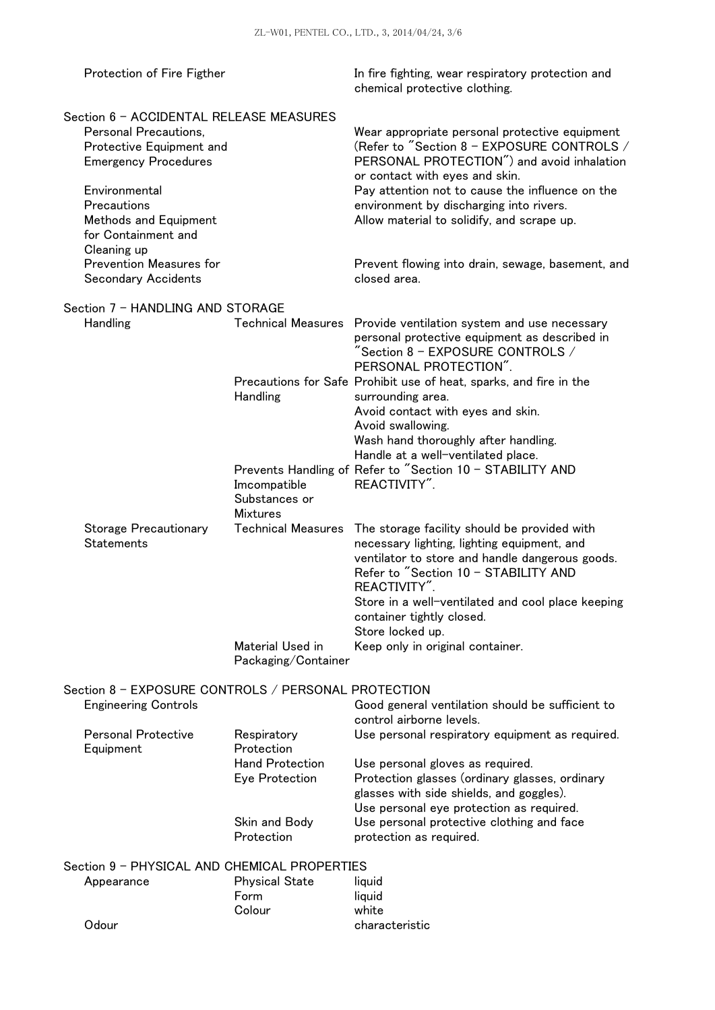| Protection of Fire Figther                                                                                                                                                                                                                            |                                                  | In fire fighting, wear respiratory protection and<br>chemical protective clothing.                                                                                                                                                                                                                                                                                            |
|-------------------------------------------------------------------------------------------------------------------------------------------------------------------------------------------------------------------------------------------------------|--------------------------------------------------|-------------------------------------------------------------------------------------------------------------------------------------------------------------------------------------------------------------------------------------------------------------------------------------------------------------------------------------------------------------------------------|
| Section 6 - ACCIDENTAL RELEASE MEASURES<br>Personal Precautions,<br>Protective Equipment and<br><b>Emergency Procedures</b><br>Environmental<br>Precautions<br>Methods and Equipment<br>for Containment and<br>Cleaning up<br>Prevention Measures for |                                                  | Wear appropriate personal protective equipment<br>(Refer to "Section 8 - EXPOSURE CONTROLS /<br>PERSONAL PROTECTION") and avoid inhalation<br>or contact with eyes and skin.<br>Pay attention not to cause the influence on the<br>environment by discharging into rivers.<br>Allow material to solidify, and scrape up.<br>Prevent flowing into drain, sewage, basement, and |
| <b>Secondary Accidents</b>                                                                                                                                                                                                                            |                                                  | closed area.                                                                                                                                                                                                                                                                                                                                                                  |
| Section 7 - HANDLING AND STORAGE<br>Handling                                                                                                                                                                                                          |                                                  | Technical Measures Provide ventilation system and use necessary<br>personal protective equipment as described in<br>$\degree$ Section 8 – EXPOSURE CONTROLS $\angle$<br>PERSONAL PROTECTION".                                                                                                                                                                                 |
|                                                                                                                                                                                                                                                       | Handling                                         | Precautions for Safe Prohibit use of heat, sparks, and fire in the<br>surrounding area.<br>Avoid contact with eyes and skin.<br>Avoid swallowing.<br>Wash hand thoroughly after handling.<br>Handle at a well-ventilated place.                                                                                                                                               |
|                                                                                                                                                                                                                                                       | Imcompatible<br>Substances or<br><b>Mixtures</b> | Prevents Handling of Refer to "Section 10 - STABILITY AND<br>REACTIVITY".                                                                                                                                                                                                                                                                                                     |
| <b>Storage Precautionary</b><br>Statements                                                                                                                                                                                                            | <b>Technical Measures</b>                        | The storage facility should be provided with<br>necessary lighting, lighting equipment, and<br>ventilator to store and handle dangerous goods.<br>Refer to "Section 10 - STABILITY AND<br>REACTIVITY".<br>Store in a well-ventilated and cool place keeping<br>container tightly closed.<br>Store locked up.                                                                  |
|                                                                                                                                                                                                                                                       | Material Used in<br>Packaging/Container          | Keep only in original container.                                                                                                                                                                                                                                                                                                                                              |
| Section 8 - EXPOSURE CONTROLS / PERSONAL PROTECTION<br><b>Engineering Controls</b>                                                                                                                                                                    |                                                  | Good general ventilation should be sufficient to<br>control airborne levels.                                                                                                                                                                                                                                                                                                  |
| <b>Personal Protective</b><br>Respiratory<br>Protection<br>Equipment<br><b>Hand Protection</b><br>Eye Protection                                                                                                                                      |                                                  | Use personal respiratory equipment as required.<br>Use personal gloves as required.<br>Protection glasses (ordinary glasses, ordinary<br>glasses with side shields, and goggles).<br>Use personal eye protection as required.                                                                                                                                                 |
|                                                                                                                                                                                                                                                       | Skin and Body<br>Protection                      | Use personal protective clothing and face<br>protection as required.                                                                                                                                                                                                                                                                                                          |
| Section 9 - PHYSICAL AND CHEMICAL PROPERTIES                                                                                                                                                                                                          |                                                  |                                                                                                                                                                                                                                                                                                                                                                               |
| Appearance                                                                                                                                                                                                                                            | <b>Physical State</b><br>Form<br>Colour          | liquid<br>liquid<br>white                                                                                                                                                                                                                                                                                                                                                     |
| Odour                                                                                                                                                                                                                                                 |                                                  | characteristic                                                                                                                                                                                                                                                                                                                                                                |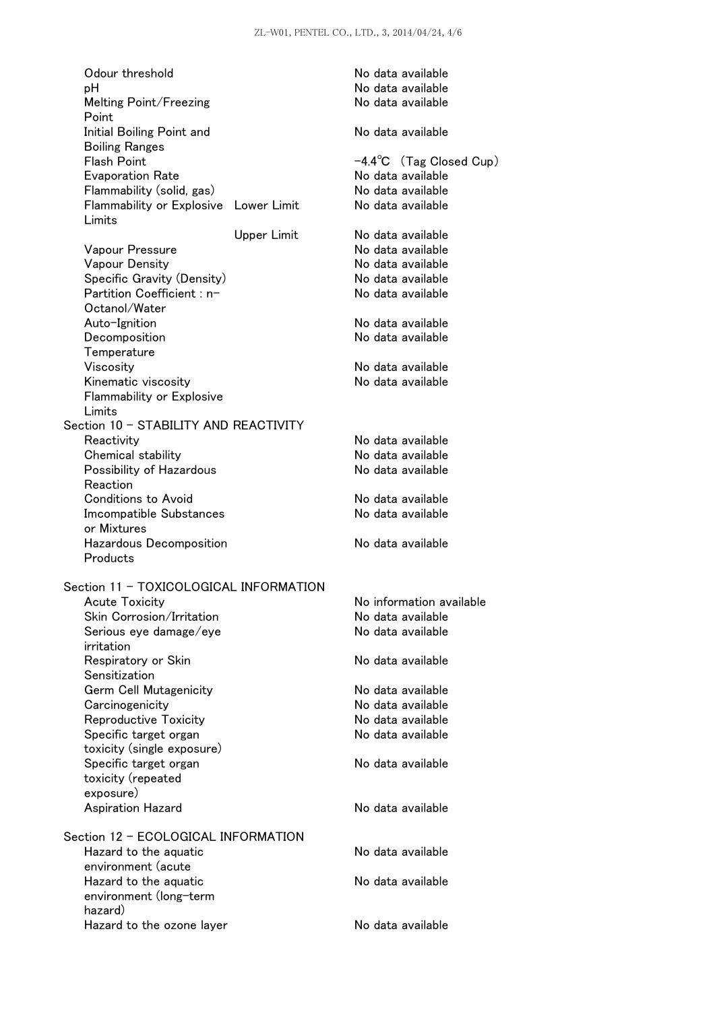| Odour threshold<br>рH<br>Melting Point/Freezing             |                    | No data available<br>No data available<br>No data available |
|-------------------------------------------------------------|--------------------|-------------------------------------------------------------|
| Point<br>Initial Boiling Point and<br><b>Boiling Ranges</b> |                    | No data available                                           |
| <b>Flash Point</b>                                          |                    | $-4.4^{\circ}$ C (Tag Closed Cup)                           |
| <b>Evaporation Rate</b>                                     |                    | No data available                                           |
| Flammability (solid, gas)                                   |                    | No data available                                           |
| Flammability or Explosive Lower Limit<br>Limits             |                    | No data available                                           |
|                                                             | <b>Upper Limit</b> | No data available                                           |
| Vapour Pressure                                             |                    | No data available                                           |
| <b>Vapour Density</b>                                       |                    | No data available                                           |
| Specific Gravity (Density)                                  |                    | No data available                                           |
| Partition Coefficient : n-                                  |                    | No data available                                           |
| Octanol/Water                                               |                    |                                                             |
| Auto-Ignition                                               |                    | No data available                                           |
| Decomposition                                               |                    | No data available                                           |
| Temperature                                                 |                    |                                                             |
| Viscosity                                                   |                    | No data available                                           |
| Kinematic viscosity                                         |                    | No data available                                           |
| Flammability or Explosive                                   |                    |                                                             |
| Limits                                                      |                    |                                                             |
| Section 10 - STABILITY AND REACTIVITY                       |                    |                                                             |
| Reactivity                                                  |                    | No data available                                           |
| Chemical stability                                          |                    | No data available                                           |
| Possibility of Hazardous                                    |                    | No data available                                           |
| Reaction                                                    |                    |                                                             |
| <b>Conditions to Avoid</b>                                  |                    | No data available                                           |
| <b>Imcompatible Substances</b>                              |                    | No data available                                           |
| or Mixtures                                                 |                    |                                                             |
| Hazardous Decomposition<br>Products                         |                    | No data available                                           |
| Section 11 - TOXICOLOGICAL INFORMATION                      |                    |                                                             |
| Acute Toxicity                                              |                    | No information available                                    |
| Skin Corrosion/Irritation                                   |                    | No data available                                           |
| Serious eye damage/eye<br>irritation                        |                    | No data available                                           |
| Respiratory or Skin<br>Sensitization                        |                    | No data available                                           |
| Germ Cell Mutagenicity                                      |                    | No data available                                           |
| Carcinogenicity                                             |                    | No data available                                           |
| <b>Reproductive Toxicity</b>                                |                    | No data available                                           |
| Specific target organ                                       |                    | No data available                                           |
| toxicity (single exposure)                                  |                    |                                                             |
| Specific target organ                                       |                    | No data available                                           |
| toxicity (repeated                                          |                    |                                                             |
| exposure)                                                   |                    |                                                             |
| <b>Aspiration Hazard</b>                                    |                    | No data available                                           |
| Section 12 - ECOLOGICAL INFORMATION                         |                    |                                                             |
| Hazard to the aquatic                                       |                    | No data available                                           |
| environment (acute                                          |                    |                                                             |
| Hazard to the aquatic                                       |                    | No data available                                           |
| environment (long-term                                      |                    |                                                             |
| hazard)                                                     |                    |                                                             |
| Hazard to the ozone layer                                   |                    | No data available                                           |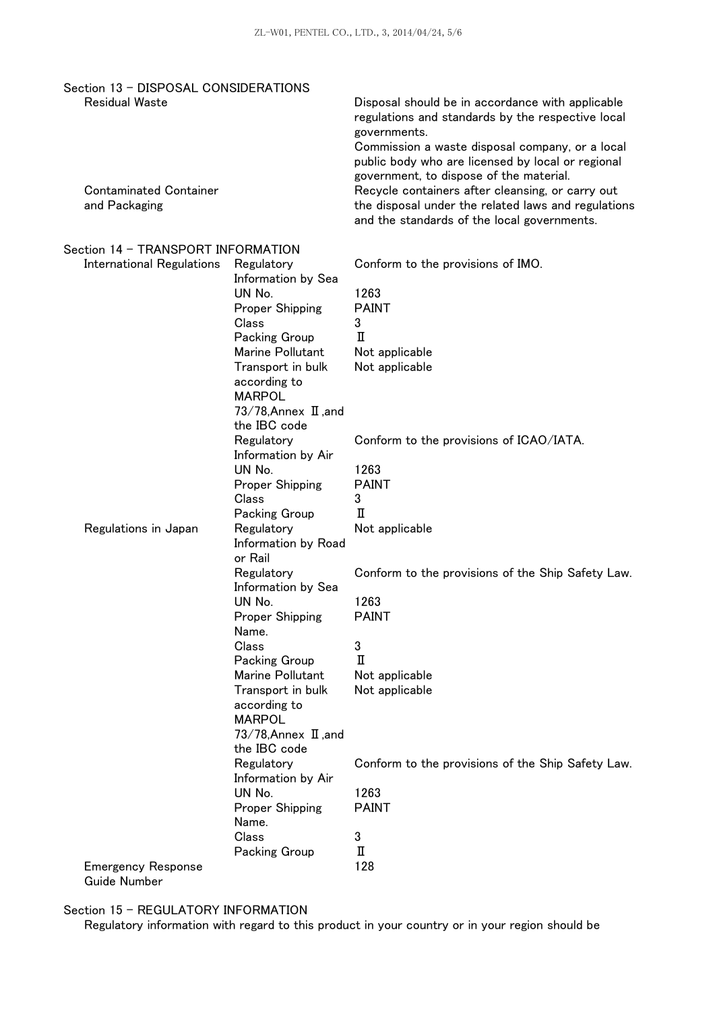| Section 13 - DISPOSAL CONSIDERATIONS             |                                                                                                                                                                   |                                                                                                                                                                                                                                                                          |
|--------------------------------------------------|-------------------------------------------------------------------------------------------------------------------------------------------------------------------|--------------------------------------------------------------------------------------------------------------------------------------------------------------------------------------------------------------------------------------------------------------------------|
| <b>Residual Waste</b>                            |                                                                                                                                                                   | Disposal should be in accordance with applicable<br>regulations and standards by the respective local<br>governments.<br>Commission a waste disposal company, or a local<br>public body who are licensed by local or regional<br>government, to dispose of the material. |
| <b>Contaminated Container</b><br>and Packaging   |                                                                                                                                                                   | Recycle containers after cleansing, or carry out<br>the disposal under the related laws and regulations<br>and the standards of the local governments.                                                                                                                   |
| Section 14 - TRANSPORT INFORMATION               |                                                                                                                                                                   |                                                                                                                                                                                                                                                                          |
| <b>International Regulations</b>                 | Regulatory<br>Information by Sea<br>UN No.<br>Proper Shipping<br>Class<br>Packing Group<br>Marine Pollutant<br>Transport in bulk<br>according to<br><b>MARPOL</b> | Conform to the provisions of IMO.<br>1263<br><b>PAINT</b><br>3<br>п<br>Not applicable<br>Not applicable                                                                                                                                                                  |
|                                                  | 73/78, Annex $\text{I}$ , and<br>the IBC code<br>Regulatory<br>Information by Air<br>UN No.<br>Proper Shipping<br>Class                                           | Conform to the provisions of ICAO/IATA.<br>1263<br><b>PAINT</b><br>3                                                                                                                                                                                                     |
| Regulations in Japan                             | Packing Group<br>Regulatory<br>Information by Road<br>or Rail                                                                                                     | п<br>Not applicable                                                                                                                                                                                                                                                      |
|                                                  | Regulatory<br>Information by Sea<br>UN No.<br>Proper Shipping                                                                                                     | Conform to the provisions of the Ship Safety Law.<br>1263<br>PAINT                                                                                                                                                                                                       |
|                                                  | Name.<br>Class<br>Packing Group<br>Marine Pollutant<br>Transport in bulk<br>according to<br><b>MARPOL</b><br>73/78, Annex $\text{I}$ , and<br>the IBC code        | 3<br>п<br>Not applicable<br>Not applicable                                                                                                                                                                                                                               |
|                                                  | Regulatory<br>Information by Air<br>UN No.<br>Proper Shipping<br>Name.<br>Class                                                                                   | Conform to the provisions of the Ship Safety Law.<br>1263<br><b>PAINT</b><br>3                                                                                                                                                                                           |
| <b>Emergency Response</b><br><b>Guide Number</b> | Packing Group                                                                                                                                                     | п<br>128                                                                                                                                                                                                                                                                 |

Section 15 - REGULATORY INFORMATION

Regulatory information with regard to this product in your country or in your region should be